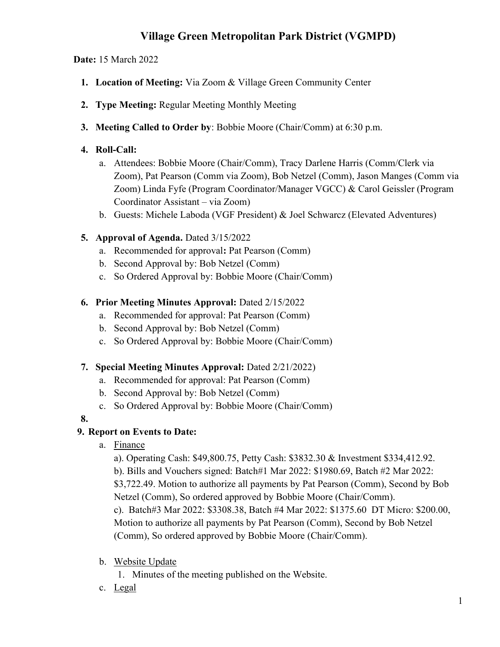# Village Green Metropolitan Park District (VGMPD)

## Date: 15 March 2022

- 1. Location of Meeting: Via Zoom & Village Green Community Center
- 2. Type Meeting: Regular Meeting Monthly Meeting
- 3. Meeting Called to Order by: Bobbie Moore (Chair/Comm) at 6:30 p.m.

## 4. Roll-Call:

- a. Attendees: Bobbie Moore (Chair/Comm), Tracy Darlene Harris (Comm/Clerk via Zoom), Pat Pearson (Comm via Zoom), Bob Netzel (Comm), Jason Manges (Comm via Zoom) Linda Fyfe (Program Coordinator/Manager VGCC) & Carol Geissler (Program Coordinator Assistant – via Zoom)
- b. Guests: Michele Laboda (VGF President) & Joel Schwarcz (Elevated Adventures)

# 5. Approval of Agenda. Dated 3/15/2022

- a. Recommended for approval: Pat Pearson (Comm)
- b. Second Approval by: Bob Netzel (Comm)
- c. So Ordered Approval by: Bobbie Moore (Chair/Comm)

## 6. Prior Meeting Minutes Approval: Dated 2/15/2022

- a. Recommended for approval: Pat Pearson (Comm)
- b. Second Approval by: Bob Netzel (Comm)
- c. So Ordered Approval by: Bobbie Moore (Chair/Comm)

#### 7. Special Meeting Minutes Approval: Dated 2/21/2022)

- a. Recommended for approval: Pat Pearson (Comm)
- b. Second Approval by: Bob Netzel (Comm)
- c. So Ordered Approval by: Bobbie Moore (Chair/Comm)

## 8.

# 9. Report on Events to Date:

a. Finance

a). Operating Cash: \$49,800.75, Petty Cash: \$3832.30 & Investment \$334,412.92. b). Bills and Vouchers signed: Batch#1 Mar 2022: \$1980.69, Batch #2 Mar 2022:

\$3,722.49. Motion to authorize all payments by Pat Pearson (Comm), Second by Bob Netzel (Comm), So ordered approved by Bobbie Moore (Chair/Comm).

c). Batch#3 Mar 2022: \$3308.38, Batch #4 Mar 2022: \$1375.60 DT Micro: \$200.00, Motion to authorize all payments by Pat Pearson (Comm), Second by Bob Netzel (Comm), So ordered approved by Bobbie Moore (Chair/Comm).

#### b. Website Update

1. Minutes of the meeting published on the Website.

c. Legal